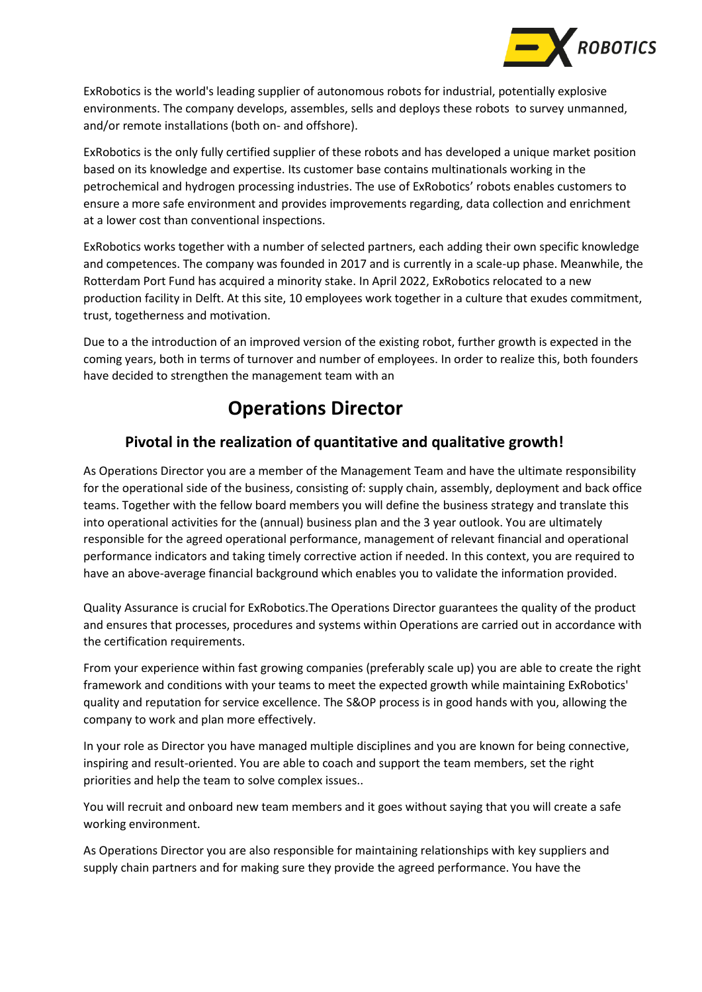

ExRobotics is the world's leading supplier of autonomous robots for industrial, potentially explosive environments. The company develops, assembles, sells and deploys these robots to survey unmanned, and/or remote installations (both on- and offshore).

ExRobotics is the only fully certified supplier of these robots and has developed a unique market position based on its knowledge and expertise. Its customer base contains multinationals working in the petrochemical and hydrogen processing industries. The use of ExRobotics' robots enables customers to ensure a more safe environment and provides improvements regarding, data collection and enrichment at a lower cost than conventional inspections.

ExRobotics works together with a number of selected partners, each adding their own specific knowledge and competences. The company was founded in 2017 and is currently in a scale-up phase. Meanwhile, the Rotterdam Port Fund has acquired a minority stake. In April 2022, ExRobotics relocated to a new production facility in Delft. At this site, 10 employees work together in a culture that exudes commitment, trust, togetherness and motivation.

Due to a the introduction of an improved version of the existing robot, further growth is expected in the coming years, both in terms of turnover and number of employees. In order to realize this, both founders have decided to strengthen the management team with an

# **Operations Director**

# **Pivotal in the realization of quantitative and qualitative growth!**

As Operations Director you are a member of the Management Team and have the ultimate responsibility for the operational side of the business, consisting of: supply chain, assembly, deployment and back office teams. Together with the fellow board members you will define the business strategy and translate this into operational activities for the (annual) business plan and the 3 year outlook. You are ultimately responsible for the agreed operational performance, management of relevant financial and operational performance indicators and taking timely corrective action if needed. In this context, you are required to have an above-average financial background which enables you to validate the information provided.

Quality Assurance is crucial for ExRobotics.The Operations Director guarantees the quality of the product and ensures that processes, procedures and systems within Operations are carried out in accordance with the certification requirements.

From your experience within fast growing companies (preferably scale up) you are able to create the right framework and conditions with your teams to meet the expected growth while maintaining ExRobotics' quality and reputation for service excellence. The S&OP process is in good hands with you, allowing the company to work and plan more effectively.

In your role as Director you have managed multiple disciplines and you are known for being connective, inspiring and result-oriented. You are able to coach and support the team members, set the right priorities and help the team to solve complex issues..

You will recruit and onboard new team members and it goes without saying that you will create a safe working environment.

As Operations Director you are also responsible for maintaining relationships with key suppliers and supply chain partners and for making sure they provide the agreed performance. You have the